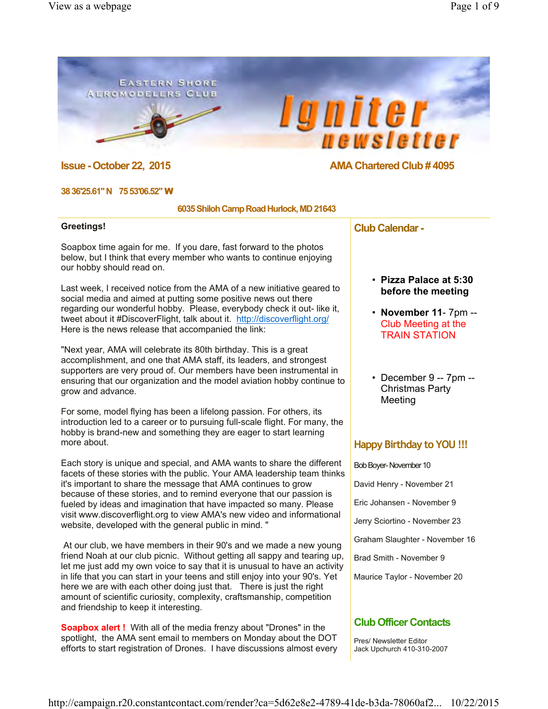### **EASTERN SHORE AEROMODELERS CLUB**





## **Issue - October 22, 2015 AMA Chartered Club # 4095**

#### **38 36'25.61" N 75 53'06.52"** W

#### **6035 Shiloh Camp Road Hurlock, MD 21643**

#### **Greetings!**

Soapbox time again for me. If you dare, fast forward to the photos below, but I think that every member who wants to continue enjoying our hobby should read on.

Last week, I received notice from the AMA of a new initiative geared to social media and aimed at putting some positive news out there regarding our wonderful hobby. Please, everybody check it out- like it, tweet about it #DiscoverFlight, talk about it. http://discoverflight.org/ Here is the news release that accompanied the link:

"Next year, AMA will celebrate its 80th birthday. This is a great accomplishment, and one that AMA staff, its leaders, and strongest supporters are very proud of. Our members have been instrumental in ensuring that our organization and the model aviation hobby continue to grow and advance.

For some, model flying has been a lifelong passion. For others, its introduction led to a career or to pursuing full-scale flight. For many, the hobby is brand-new and something they are eager to start learning more about.

Each story is unique and special, and AMA wants to share the different facets of these stories with the public. Your AMA leadership team thinks it's important to share the message that AMA continues to grow because of these stories, and to remind everyone that our passion is fueled by ideas and imagination that have impacted so many. Please visit www.discoverflight.org to view AMA's new video and informational website, developed with the general public in mind. "

 At our club, we have members in their 90's and we made a new young friend Noah at our club picnic. Without getting all sappy and tearing up, let me just add my own voice to say that it is unusual to have an activity in life that you can start in your teens and still enjoy into your 90's. Yet here we are with each other doing just that. There is just the right amount of scientific curiosity, complexity, craftsmanship, competition and friendship to keep it interesting.

**Soapbox alert!** With all of the media frenzy about "Drones" in the spotlight, the AMA sent email to members on Monday about the DOT efforts to start registration of Drones. I have discussions almost every **Club Calendar -**

- **Pizza Palace at 5:30 before the meeting**
- **November 11** 7pm -- Club Meeting at the TRAIN STATION
- December 9 -- 7pm -- Christmas Party Meeting

## **Happy Birthday to YOU !!!**

Bob Boyer- November 10 David Henry - November 21 Eric Johansen - November 9 Jerry Sciortino - November 23 Graham Slaughter - November 16 Brad Smith - November 9 Maurice Taylor - November 20

## **Club Officer Contacts**

Pres/ Newsletter Editor Jack Upchurch 410-310-2007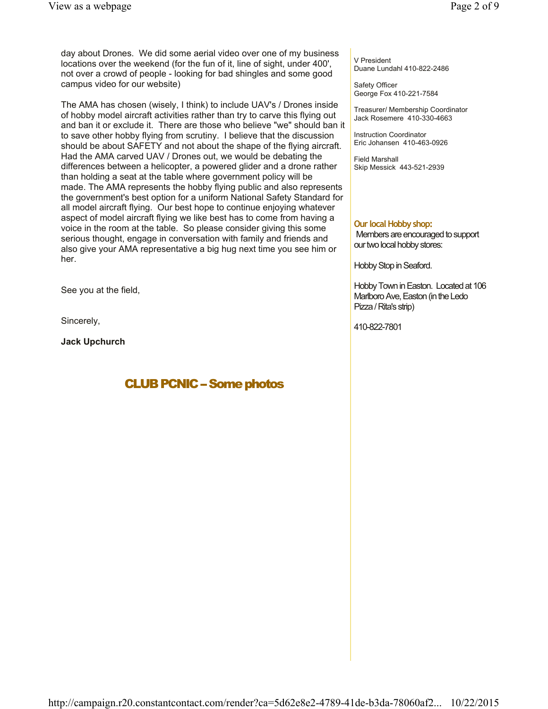day about Drones. We did some aerial video over one of my business locations over the weekend (for the fun of it, line of sight, under 400', not over a crowd of people - looking for bad shingles and some good campus video for our website)

The AMA has chosen (wisely, I think) to include UAV's / Drones inside of hobby model aircraft activities rather than try to carve this flying out and ban it or exclude it. There are those who believe "we" should ban it to save other hobby flying from scrutiny. I believe that the discussion should be about SAFETY and not about the shape of the flying aircraft. Had the AMA carved UAV / Drones out, we would be debating the differences between a helicopter, a powered glider and a drone rather than holding a seat at the table where government policy will be made. The AMA represents the hobby flying public and also represents the government's best option for a uniform National Safety Standard for all model aircraft flying. Our best hope to continue enjoying whatever aspect of model aircraft flying we like best has to come from having a voice in the room at the table. So please consider giving this some serious thought, engage in conversation with family and friends and also give your AMA representative a big hug next time you see him or her.

See you at the field,

Sincerely,

**Jack Upchurch**

# **CLUB PCNIC - Some photos**

V President Duane Lundahl 410-822-2486

Safety Officer George Fox 410-221-7584

Treasurer/ Membership Coordinator Jack Rosemere 410-330-4663

Instruction Coordinator Eric Johansen 410-463-0926

Field Marshall Skip Messick 443-521-2939

#### **Our local Hobby shop:**

Members are encouraged to support our two local hobby stores:

Hobby Stop in Seaford.

Hobby Town in Easton. Located at 106 Marlboro Ave, Easton (in the Ledo Pizza / Rita's strip)

410-822-7801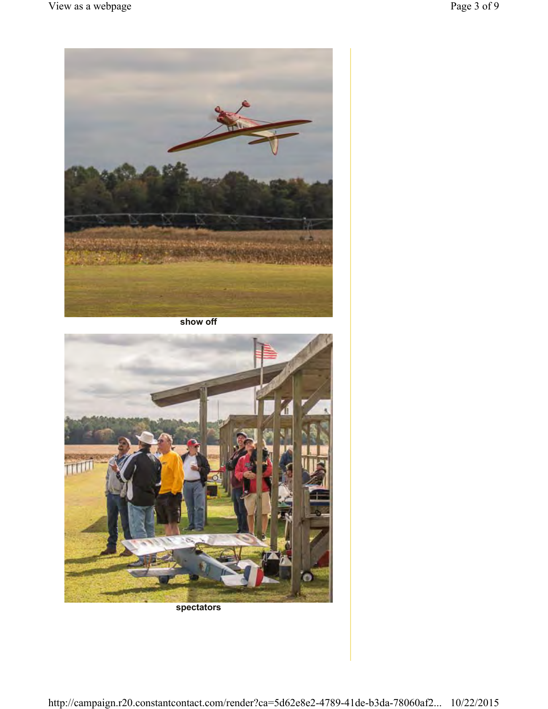

**show off**



**spectators**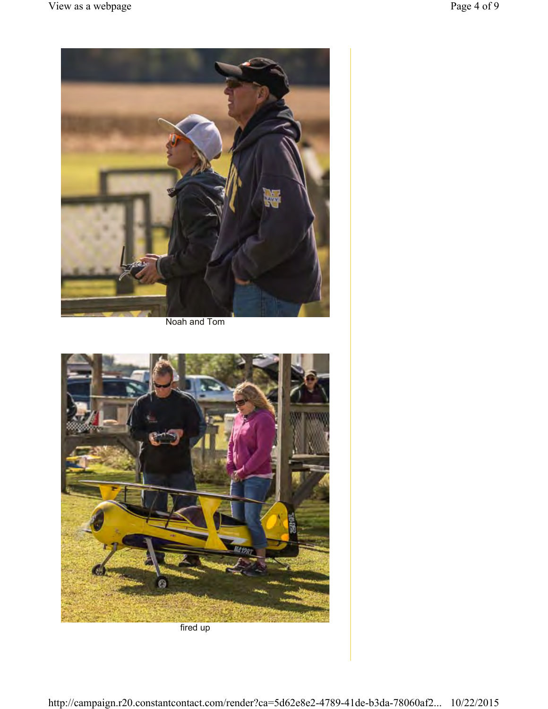

Noah and Tom



fired up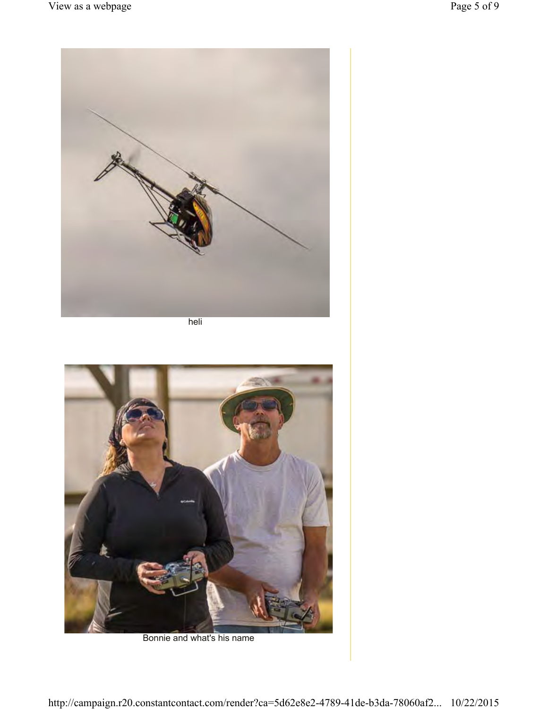

heli



Bonnie and what's his name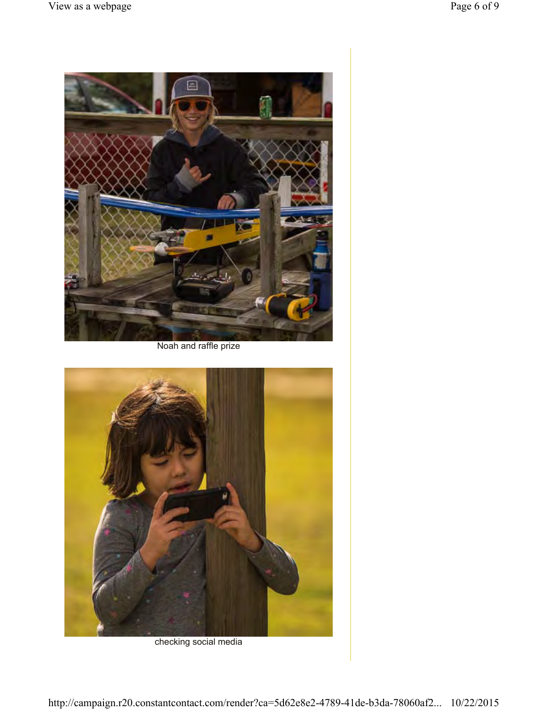

Noah and raffle prize



checking social media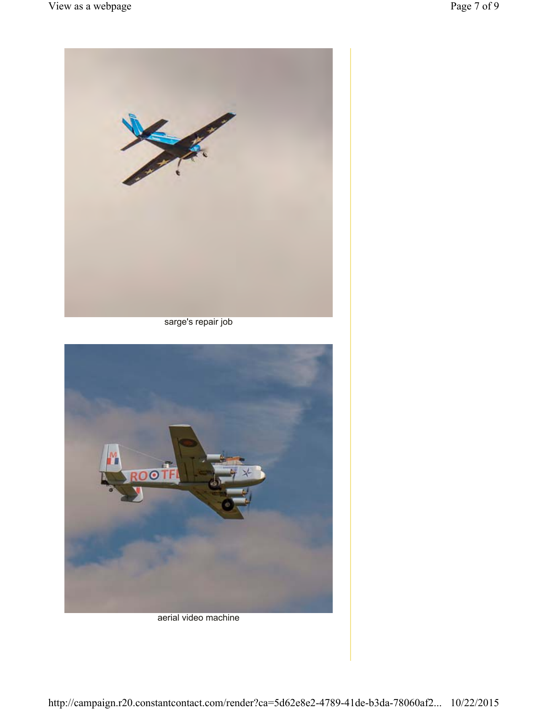

sarge's repair job



## aerial video machine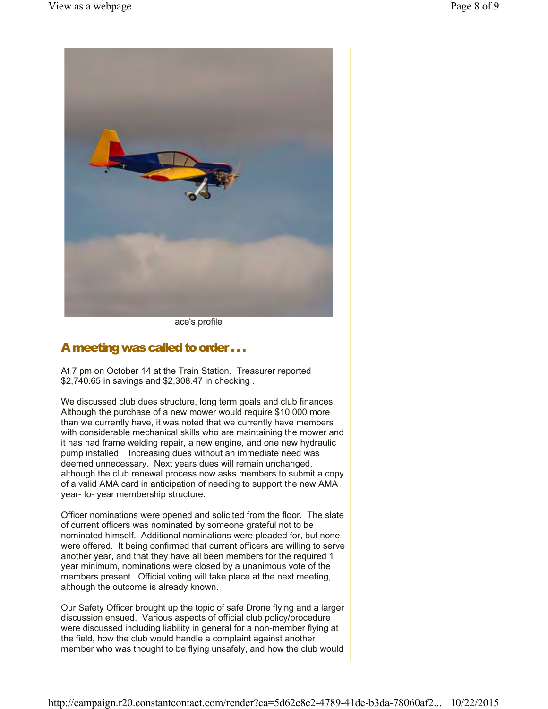

ace's profile

## A meeting was called to order . . .

At 7 pm on October 14 at the Train Station. Treasurer reported \$2,740.65 in savings and \$2,308.47 in checking .

We discussed club dues structure, long term goals and club finances. Although the purchase of a new mower would require \$10,000 more than we currently have, it was noted that we currently have members with considerable mechanical skills who are maintaining the mower and it has had frame welding repair, a new engine, and one new hydraulic pump installed. Increasing dues without an immediate need was deemed unnecessary. Next years dues will remain unchanged, although the club renewal process now asks members to submit a copy of a valid AMA card in anticipation of needing to support the new AMA year- to- year membership structure.

Officer nominations were opened and solicited from the floor. The slate of current officers was nominated by someone grateful not to be nominated himself. Additional nominations were pleaded for, but none were offered. It being confirmed that current officers are willing to serve another year, and that they have all been members for the required 1 year minimum, nominations were closed by a unanimous vote of the members present. Official voting will take place at the next meeting, although the outcome is already known.

Our Safety Officer brought up the topic of safe Drone flying and a larger discussion ensued. Various aspects of official club policy/procedure were discussed including liability in general for a non-member flying at the field, how the club would handle a complaint against another member who was thought to be flying unsafely, and how the club would